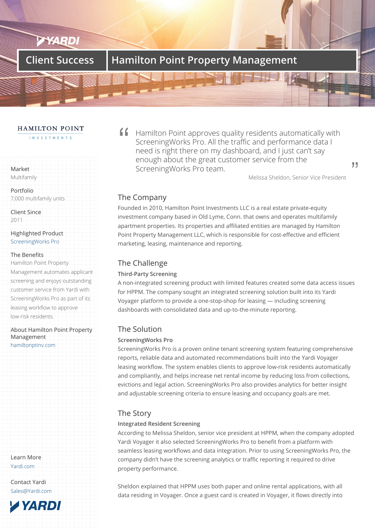# **Client Success Hamilton Point Property Management**

#### HAMILTON POINT

INVESTMENTS

### Market Multifamily

Portfolio 7,000 multifamily units

Client Since 2011

Highlighted Product ScreeningWorks Pro

#### The Benefits

Hamilton Point Property [Management autom](/products/resident-screening/)ates applicant screening and enjoys outstanding customer service from Yardi with ScreeningWorks Pro as part of its leasing workflow to approve low-risk residents.

About Hamilton Point Property Management hamiltonptinv.com

Learn More Yardi.com

Contact Yardi Sales@Yardi.com

**YARDI** 



Melissa Sheldon, Senior Vice President

99

# The Company

Founded in 2010, Hamilton Point Investments LLC is a real estate private-equity investment company based in Old Lyme, Conn. that owns and operates multifamily apartment properties. Its properties and affiliated entities are managed by Hamilton Point Property Management LLC, which is responsible for cost-effective and efficient marketing, leasing, maintenance and reporting.

# The Challenge

#### **Third-Party Screening**

A non-integrated screening product with limited features created some data access issues for HPPM. The company sought an integrated screening solution built into its Yardi Voyager platform to provide a one-stop-shop for leasing — including screening dashboards with consolidated data and up-to-the-minute reporting.

## The Solution

### **ScreeningWorks Pro**

ScreeningWorks Pro is a proven online tenant screening system featuring comprehensive reports, reliable data and automated recommendations built into the Yardi Voyager leasing workflow. The system enables clients to approve low-risk residents automatically and compliantly, and helps increase net rental income by reducing loss from collections, evictions and legal action. ScreeningWorks Pro also provides analytics for better insight and adjustable screening criteria to ensure leasing and occupancy goals are met.

# The Story

### **Integrated Resident Screening**

According to Melissa Sheldon, senior vice president at HPPM, when the company adopted Yardi Voyager it also selected ScreeningWorks Pro to benefit from a platform with seamless leasing workflows and data integration. Prior to using ScreeningWorks Pro, the company didn't have the screening analytics or traffic reporting it required to drive property performance.

Sheldon explained that HPPM uses both paper and online rental applications, with all data residing in Voyager. Once a guest card is created in Voyager, it flows directly into